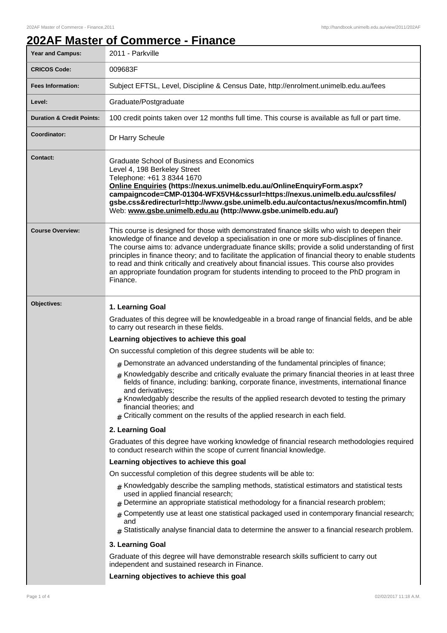## **202AF Master of Commerce - Finance**

| Year and Campus:                     | 2011 - Parkville                                                                                                                                                                                                                                                                                                                                                                                                                                                                                                                                                                                                    |  |
|--------------------------------------|---------------------------------------------------------------------------------------------------------------------------------------------------------------------------------------------------------------------------------------------------------------------------------------------------------------------------------------------------------------------------------------------------------------------------------------------------------------------------------------------------------------------------------------------------------------------------------------------------------------------|--|
| <b>CRICOS Code:</b>                  | 009683F                                                                                                                                                                                                                                                                                                                                                                                                                                                                                                                                                                                                             |  |
| <b>Fees Information:</b>             | Subject EFTSL, Level, Discipline & Census Date, http://enrolment.unimelb.edu.au/fees                                                                                                                                                                                                                                                                                                                                                                                                                                                                                                                                |  |
| Level:                               | Graduate/Postgraduate                                                                                                                                                                                                                                                                                                                                                                                                                                                                                                                                                                                               |  |
| <b>Duration &amp; Credit Points:</b> | 100 credit points taken over 12 months full time. This course is available as full or part time.                                                                                                                                                                                                                                                                                                                                                                                                                                                                                                                    |  |
| Coordinator:                         | Dr Harry Scheule                                                                                                                                                                                                                                                                                                                                                                                                                                                                                                                                                                                                    |  |
| <b>Contact:</b>                      | Graduate School of Business and Economics<br>Level 4, 198 Berkeley Street<br>Telephone: +61 3 8344 1670<br>Online Enquiries (https://nexus.unimelb.edu.au/OnlineEnquiryForm.aspx?<br>campaigncode=CMP-01304-WFX5VH&cssurl=https://nexus.unimelb.edu.au/cssfiles/<br>gsbe.css&redirecturl=http://www.gsbe.unimelb.edu.au/contactus/nexus/mcomfin.html)<br>Web: www.gsbe.unimelb.edu.au (http://www.gsbe.unimelb.edu.au/)                                                                                                                                                                                             |  |
| <b>Course Overview:</b>              | This course is designed for those with demonstrated finance skills who wish to deepen their<br>knowledge of finance and develop a specialisation in one or more sub-disciplines of finance.<br>The course aims to: advance undergraduate finance skills; provide a solid understanding of first<br>principles in finance theory; and to facilitate the application of financial theory to enable students<br>to read and think critically and creatively about financial issues. This course also provides<br>an appropriate foundation program for students intending to proceed to the PhD program in<br>Finance. |  |
| Objectives:                          | 1. Learning Goal                                                                                                                                                                                                                                                                                                                                                                                                                                                                                                                                                                                                    |  |
|                                      | Graduates of this degree will be knowledgeable in a broad range of financial fields, and be able<br>to carry out research in these fields.                                                                                                                                                                                                                                                                                                                                                                                                                                                                          |  |
|                                      | Learning objectives to achieve this goal                                                                                                                                                                                                                                                                                                                                                                                                                                                                                                                                                                            |  |
|                                      | On successful completion of this degree students will be able to:                                                                                                                                                                                                                                                                                                                                                                                                                                                                                                                                                   |  |
|                                      | $#$ Demonstrate an advanced understanding of the fundamental principles of finance;                                                                                                                                                                                                                                                                                                                                                                                                                                                                                                                                 |  |
|                                      | $#$ Knowledgably describe and critically evaluate the primary financial theories in at least three<br>fields of finance, including: banking, corporate finance, investments, international finance<br>and derivatives:<br>$#$ Knowledgably describe the results of the applied research devoted to testing the primary<br>financial theories; and<br>$#$ Critically comment on the results of the applied research in each field.                                                                                                                                                                                   |  |
|                                      | 2. Learning Goal                                                                                                                                                                                                                                                                                                                                                                                                                                                                                                                                                                                                    |  |
|                                      | Graduates of this degree have working knowledge of financial research methodologies required<br>to conduct research within the scope of current financial knowledge.                                                                                                                                                                                                                                                                                                                                                                                                                                                |  |
|                                      | Learning objectives to achieve this goal                                                                                                                                                                                                                                                                                                                                                                                                                                                                                                                                                                            |  |
|                                      | On successful completion of this degree students will be able to:                                                                                                                                                                                                                                                                                                                                                                                                                                                                                                                                                   |  |
|                                      | $_{\#}$ Knowledgably describe the sampling methods, statistical estimators and statistical tests<br>used in applied financial research;<br>Determine an appropriate statistical methodology for a financial research problem;                                                                                                                                                                                                                                                                                                                                                                                       |  |
|                                      | Competently use at least one statistical packaged used in contemporary financial research;<br>#<br>and<br>Statistically analyse financial data to determine the answer to a financial research problem.<br>#                                                                                                                                                                                                                                                                                                                                                                                                        |  |
|                                      | 3. Learning Goal                                                                                                                                                                                                                                                                                                                                                                                                                                                                                                                                                                                                    |  |
|                                      | Graduate of this degree will have demonstrable research skills sufficient to carry out<br>independent and sustained research in Finance.                                                                                                                                                                                                                                                                                                                                                                                                                                                                            |  |
|                                      | Learning objectives to achieve this goal                                                                                                                                                                                                                                                                                                                                                                                                                                                                                                                                                                            |  |
|                                      |                                                                                                                                                                                                                                                                                                                                                                                                                                                                                                                                                                                                                     |  |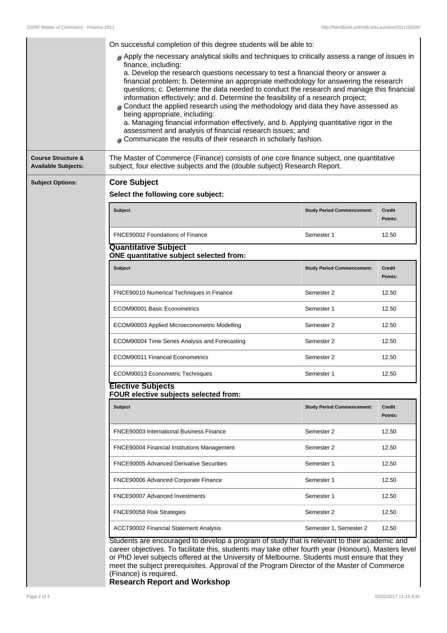٠ Ĩ.

|                                                             | On successful completion of this degree students will be able to:                                                                                                                                                                                                                                                                                                                                                                                                                                                                                                                                                                                                                                                                                                                                                                                   |                                   |                          |  |
|-------------------------------------------------------------|-----------------------------------------------------------------------------------------------------------------------------------------------------------------------------------------------------------------------------------------------------------------------------------------------------------------------------------------------------------------------------------------------------------------------------------------------------------------------------------------------------------------------------------------------------------------------------------------------------------------------------------------------------------------------------------------------------------------------------------------------------------------------------------------------------------------------------------------------------|-----------------------------------|--------------------------|--|
|                                                             | $#$ Apply the necessary analytical skills and techniques to critically assess a range of issues in<br>finance, including:<br>a. Develop the research questions necessary to test a financial theory or answer a<br>financial problem; b. Determine an appropriate methodology for answering the research<br>questions; c. Determine the data needed to conduct the research and manage this financial<br>information effectively; and d. Determine the feasibility of a research project;<br>$#$ Conduct the applied research using the methodology and data they have assessed as<br>being appropriate, including:<br>a. Managing financial information effectively, and b. Applying quantitative rigor in the<br>assessment and analysis of financial research issues; and<br>$#$ Communicate the results of their research in scholarly fashion. |                                   |                          |  |
| <b>Course Structure &amp;</b><br><b>Available Subjects:</b> | The Master of Commerce (Finance) consists of one core finance subject, one quantitative<br>subject, four elective subjects and the (double subject) Research Report.                                                                                                                                                                                                                                                                                                                                                                                                                                                                                                                                                                                                                                                                                |                                   |                          |  |
| <b>Subject Options:</b>                                     | <b>Core Subject</b>                                                                                                                                                                                                                                                                                                                                                                                                                                                                                                                                                                                                                                                                                                                                                                                                                                 |                                   |                          |  |
|                                                             | Select the following core subject:                                                                                                                                                                                                                                                                                                                                                                                                                                                                                                                                                                                                                                                                                                                                                                                                                  |                                   |                          |  |
|                                                             | Subject                                                                                                                                                                                                                                                                                                                                                                                                                                                                                                                                                                                                                                                                                                                                                                                                                                             | <b>Study Period Commencement:</b> | <b>Credit</b><br>Points: |  |
|                                                             | FNCE90002 Foundations of Finance                                                                                                                                                                                                                                                                                                                                                                                                                                                                                                                                                                                                                                                                                                                                                                                                                    | Semester 1                        | 12.50                    |  |
|                                                             | <b>Quantitative Subject</b><br>ONE quantitative subject selected from:                                                                                                                                                                                                                                                                                                                                                                                                                                                                                                                                                                                                                                                                                                                                                                              |                                   |                          |  |
|                                                             | Subject                                                                                                                                                                                                                                                                                                                                                                                                                                                                                                                                                                                                                                                                                                                                                                                                                                             | <b>Study Period Commencement:</b> | <b>Credit</b><br>Points: |  |
|                                                             | FNCE90010 Numerical Techniques in Finance                                                                                                                                                                                                                                                                                                                                                                                                                                                                                                                                                                                                                                                                                                                                                                                                           | Semester 2                        | 12.50                    |  |
|                                                             | ECOM90001 Basic Econometrics                                                                                                                                                                                                                                                                                                                                                                                                                                                                                                                                                                                                                                                                                                                                                                                                                        | Semester 1                        | 12.50                    |  |
|                                                             | ECOM90003 Applied Microeconometric Modelling                                                                                                                                                                                                                                                                                                                                                                                                                                                                                                                                                                                                                                                                                                                                                                                                        | Semester 2                        | 12.50                    |  |
|                                                             | ECOM90004 Time Series Analysis and Forecasting                                                                                                                                                                                                                                                                                                                                                                                                                                                                                                                                                                                                                                                                                                                                                                                                      | Semester 2                        | 12.50                    |  |
|                                                             | <b>ECOM90011 Financial Econometrics</b>                                                                                                                                                                                                                                                                                                                                                                                                                                                                                                                                                                                                                                                                                                                                                                                                             | Semester 2                        | 12.50                    |  |
|                                                             | ECOM90013 Econometric Techniques                                                                                                                                                                                                                                                                                                                                                                                                                                                                                                                                                                                                                                                                                                                                                                                                                    | Semester 1                        | 12.50                    |  |
|                                                             | <b>Elective Subjects</b><br>FOUR elective subjects selected from:                                                                                                                                                                                                                                                                                                                                                                                                                                                                                                                                                                                                                                                                                                                                                                                   |                                   |                          |  |
|                                                             | Subject                                                                                                                                                                                                                                                                                                                                                                                                                                                                                                                                                                                                                                                                                                                                                                                                                                             | <b>Study Period Commencement:</b> | <b>Credit</b><br>Points: |  |
|                                                             | FNCE90003 International Business Finance                                                                                                                                                                                                                                                                                                                                                                                                                                                                                                                                                                                                                                                                                                                                                                                                            | Semester 2                        | 12.50                    |  |
|                                                             | FNCE90004 Financial Institutions Management                                                                                                                                                                                                                                                                                                                                                                                                                                                                                                                                                                                                                                                                                                                                                                                                         | Semester 2                        | 12.50                    |  |
|                                                             | FNCE90005 Advanced Derivative Securities                                                                                                                                                                                                                                                                                                                                                                                                                                                                                                                                                                                                                                                                                                                                                                                                            | Semester 1                        | 12.50                    |  |
|                                                             | FNCE90006 Advanced Corporate Finance                                                                                                                                                                                                                                                                                                                                                                                                                                                                                                                                                                                                                                                                                                                                                                                                                | Semester 1                        | 12.50                    |  |
|                                                             | FNCE90007 Advanced Investments                                                                                                                                                                                                                                                                                                                                                                                                                                                                                                                                                                                                                                                                                                                                                                                                                      | Semester 1                        | 12.50                    |  |
|                                                             | FNCE90058 Risk Strategies                                                                                                                                                                                                                                                                                                                                                                                                                                                                                                                                                                                                                                                                                                                                                                                                                           | Semester 2                        | 12.50                    |  |
|                                                             | ACCT90002 Financial Statement Analysis                                                                                                                                                                                                                                                                                                                                                                                                                                                                                                                                                                                                                                                                                                                                                                                                              | Semester 1, Semester 2            | 12.50                    |  |
|                                                             | Students are encouraged to develop a program of study that is relevant to their academic and<br>career objectives. To facilitate this, students may take other fourth year (Honours), Masters level<br>or PhD level subjects offered at the University of Melbourne. Students must ensure that they                                                                                                                                                                                                                                                                                                                                                                                                                                                                                                                                                 |                                   |                          |  |

or PhD level subjects offered at the University of Melbourne. Students must ensure that they meet the subject prerequisites. Approval of the Program Director of the Master of Commerce (Finance) is required.

**Research Report and Workshop**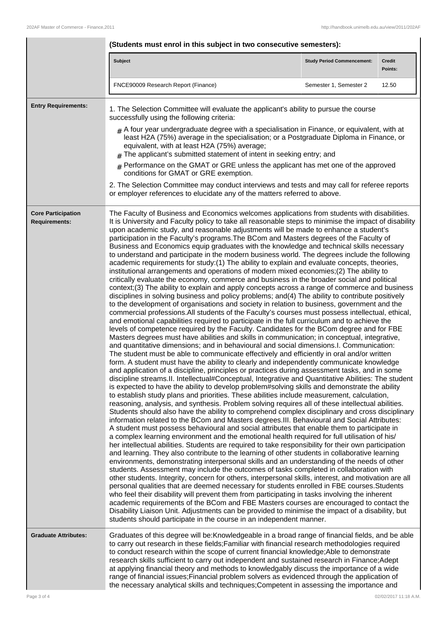|                                                   | (Students must enrol in this subject in two consecutive semesters):                                                                                                                                                                                                                                                                                                                                                                                                                                                                                                                                                                                                                                                                                                                                                                                                                                                                                                                                                                                                                                                                                                                                                                                                                                                                                                                                                                                                                                                                                                                                                                                                                                                                                                                                                                                                                                                                                                                                                                                                                                                                                                                                                                                                                                                                                                                                                                                                                                                                                                                                                                                                                                                                                                                                                                                                                                                                                                                                                                                                                                                                                                                                                                                                                                                                                                                                                                                                                                                                                                                                                                                                                                                                                                       |                                   |                          |
|---------------------------------------------------|---------------------------------------------------------------------------------------------------------------------------------------------------------------------------------------------------------------------------------------------------------------------------------------------------------------------------------------------------------------------------------------------------------------------------------------------------------------------------------------------------------------------------------------------------------------------------------------------------------------------------------------------------------------------------------------------------------------------------------------------------------------------------------------------------------------------------------------------------------------------------------------------------------------------------------------------------------------------------------------------------------------------------------------------------------------------------------------------------------------------------------------------------------------------------------------------------------------------------------------------------------------------------------------------------------------------------------------------------------------------------------------------------------------------------------------------------------------------------------------------------------------------------------------------------------------------------------------------------------------------------------------------------------------------------------------------------------------------------------------------------------------------------------------------------------------------------------------------------------------------------------------------------------------------------------------------------------------------------------------------------------------------------------------------------------------------------------------------------------------------------------------------------------------------------------------------------------------------------------------------------------------------------------------------------------------------------------------------------------------------------------------------------------------------------------------------------------------------------------------------------------------------------------------------------------------------------------------------------------------------------------------------------------------------------------------------------------------------------------------------------------------------------------------------------------------------------------------------------------------------------------------------------------------------------------------------------------------------------------------------------------------------------------------------------------------------------------------------------------------------------------------------------------------------------------------------------------------------------------------------------------------------------------------------------------------------------------------------------------------------------------------------------------------------------------------------------------------------------------------------------------------------------------------------------------------------------------------------------------------------------------------------------------------------------------------------------------------------------------------------------------------------------|-----------------------------------|--------------------------|
|                                                   | Subject                                                                                                                                                                                                                                                                                                                                                                                                                                                                                                                                                                                                                                                                                                                                                                                                                                                                                                                                                                                                                                                                                                                                                                                                                                                                                                                                                                                                                                                                                                                                                                                                                                                                                                                                                                                                                                                                                                                                                                                                                                                                                                                                                                                                                                                                                                                                                                                                                                                                                                                                                                                                                                                                                                                                                                                                                                                                                                                                                                                                                                                                                                                                                                                                                                                                                                                                                                                                                                                                                                                                                                                                                                                                                                                                                                   | <b>Study Period Commencement:</b> | <b>Credit</b><br>Points: |
|                                                   | FNCE90009 Research Report (Finance)                                                                                                                                                                                                                                                                                                                                                                                                                                                                                                                                                                                                                                                                                                                                                                                                                                                                                                                                                                                                                                                                                                                                                                                                                                                                                                                                                                                                                                                                                                                                                                                                                                                                                                                                                                                                                                                                                                                                                                                                                                                                                                                                                                                                                                                                                                                                                                                                                                                                                                                                                                                                                                                                                                                                                                                                                                                                                                                                                                                                                                                                                                                                                                                                                                                                                                                                                                                                                                                                                                                                                                                                                                                                                                                                       | Semester 1, Semester 2            | 12.50                    |
| <b>Entry Requirements:</b>                        | 1. The Selection Committee will evaluate the applicant's ability to pursue the course<br>successfully using the following criteria:<br>$#$ A four year undergraduate degree with a specialisation in Finance, or equivalent, with at<br>least H2A (75%) average in the specialisation; or a Postgraduate Diploma in Finance, or<br>equivalent, with at least H2A (75%) average;<br>$#$ The applicant's submitted statement of intent in seeking entry; and<br>Performance on the GMAT or GRE unless the applicant has met one of the approved<br>#<br>conditions for GMAT or GRE exemption.<br>2. The Selection Committee may conduct interviews and tests and may call for referee reports<br>or employer references to elucidate any of the matters referred to above.                                                                                                                                                                                                                                                                                                                                                                                                                                                                                                                                                                                                                                                                                                                                                                                                                                                                                                                                                                                                                                                                                                                                                                                                                                                                                                                                                                                                                                                                                                                                                                                                                                                                                                                                                                                                                                                                                                                                                                                                                                                                                                                                                                                                                                                                                                                                                                                                                                                                                                                                                                                                                                                                                                                                                                                                                                                                                                                                                                                                  |                                   |                          |
| <b>Core Participation</b><br><b>Requirements:</b> | The Faculty of Business and Economics welcomes applications from students with disabilities.<br>It is University and Faculty policy to take all reasonable steps to minimise the impact of disability<br>upon academic study, and reasonable adjustments will be made to enhance a student's<br>participation in the Faculty's programs. The BCom and Masters degrees of the Faculty of<br>Business and Economics equip graduates with the knowledge and technical skills necessary<br>to understand and participate in the modern business world. The degrees include the following<br>academic requirements for study: (1) The ability to explain and evaluate concepts, theories,<br>institutional arrangements and operations of modern mixed economies;(2) The ability to<br>critically evaluate the economy, commerce and business in the broader social and political<br>context;(3) The ability to explain and apply concepts across a range of commerce and business<br>disciplines in solving business and policy problems; and(4) The ability to contribute positively<br>to the development of organisations and society in relation to business, government and the<br>commercial professions. All students of the Faculty's courses must possess intellectual, ethical,<br>and emotional capabilities required to participate in the full curriculum and to achieve the<br>levels of competence required by the Faculty. Candidates for the BCom degree and for FBE<br>Masters degrees must have abilities and skills in communication; in conceptual, integrative,<br>and quantitative dimensions; and in behavioural and social dimensions.I. Communication:<br>The student must be able to communicate effectively and efficiently in oral and/or written<br>form. A student must have the ability to clearly and independently communicate knowledge<br>and application of a discipline, principles or practices during assessment tasks, and in some<br>discipline streams. II. Intellectual#Conceptual, Integrative and Quantitative Abilities: The student<br>is expected to have the ability to develop problem#solving skills and demonstrate the ability<br>to establish study plans and priorities. These abilities include measurement, calculation,<br>reasoning, analysis, and synthesis. Problem solving requires all of these intellectual abilities.<br>Students should also have the ability to comprehend complex disciplinary and cross disciplinary<br>information related to the BCom and Masters degrees. III. Behavioural and Social Attributes:<br>A student must possess behavioural and social attributes that enable them to participate in<br>a complex learning environment and the emotional health required for full utilisation of his/<br>her intellectual abilities. Students are required to take responsibility for their own participation<br>and learning. They also contribute to the learning of other students in collaborative learning<br>environments, demonstrating interpersonal skills and an understanding of the needs of other<br>students. Assessment may include the outcomes of tasks completed in collaboration with<br>other students. Integrity, concern for others, interpersonal skills, interest, and motivation are all<br>personal qualities that are deemed necessary for students enrolled in FBE courses. Students<br>who feel their disability will prevent them from participating in tasks involving the inherent<br>academic requirements of the BCom and FBE Masters courses are encouraged to contact the<br>Disability Liaison Unit. Adjustments can be provided to minimise the impact of a disability, but<br>students should participate in the course in an independent manner. |                                   |                          |
| <b>Graduate Attributes:</b>                       | Graduates of this degree will be: Knowledgeable in a broad range of financial fields, and be able<br>to carry out research in these fields; Familiar with financial research methodologies required<br>to conduct research within the scope of current financial knowledge; Able to demonstrate<br>research skills sufficient to carry out independent and sustained research in Finance; Adept<br>at applying financial theory and methods to knowledgably discuss the importance of a wide<br>range of financial issues; Financial problem solvers as evidenced through the application of<br>the necessary analytical skills and techniques; Competent in assessing the importance and                                                                                                                                                                                                                                                                                                                                                                                                                                                                                                                                                                                                                                                                                                                                                                                                                                                                                                                                                                                                                                                                                                                                                                                                                                                                                                                                                                                                                                                                                                                                                                                                                                                                                                                                                                                                                                                                                                                                                                                                                                                                                                                                                                                                                                                                                                                                                                                                                                                                                                                                                                                                                                                                                                                                                                                                                                                                                                                                                                                                                                                                                 |                                   |                          |